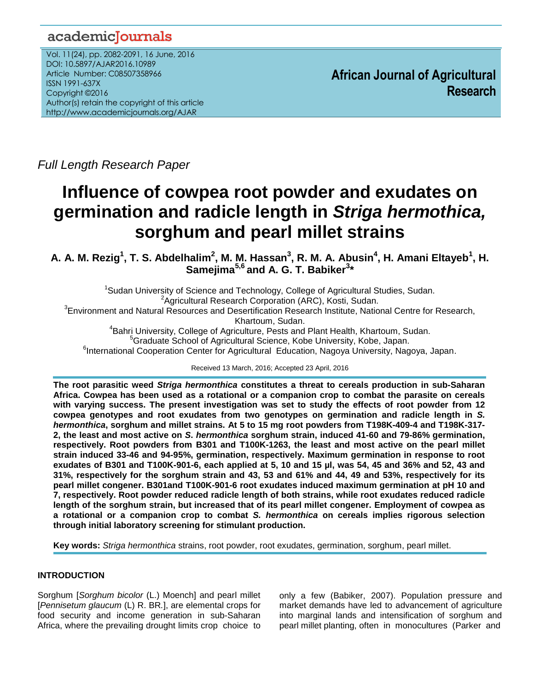# academicJournals

Vol. 11(24), pp. 2082-2091, 16 June, 2016 DOI: 10.5897/AJAR2016.10989 Article Number: C08507358966 ISSN 1991-637X Copyright ©2016 Author(s) retain the copyright of this article http://www.academicjournals.org/AJAR

**African Journal of Agricultural Research**

*Full Length Research Paper*

# **Influence of cowpea root powder and exudates on germination and radicle length in** *Striga hermothica,* **sorghum and pearl millet strains**

**A. A. M. Rezig<sup>1</sup> , T. S. Abdelhalim<sup>2</sup> , M. M. Hassan<sup>3</sup> , R. M. A. Abusin<sup>4</sup> , H. Amani Eltayeb<sup>1</sup> , H. Samejima5,6 and A. G. T. Babiker<sup>3</sup> \***

<sup>1</sup>Sudan University of Science and Technology, College of Agricultural Studies, Sudan. <sup>2</sup> Agricultural Research Corporation (ARC), Kosti, Sudan. <sup>3</sup> Environment and Natural Resources and Desertification Research Institute, National Centre for Research, Khartoum, Sudan. 4 Bahri University, College of Agriculture, Pests and Plant Health, Khartoum, Sudan. <sup>5</sup>Graduate School of Agricultural Science, Kobe University, Kobe, Japan. <sup>6</sup>International Cooperation Center for Agricultural Education, Nagoya University, Nagoya, Japan.

Received 13 March, 2016; Accepted 23 April, 2016

**The root parasitic weed** *Striga hermonthica* **constitutes a threat to cereals production in sub-Saharan Africa. Cowpea has been used as a rotational or a companion crop to combat the parasite on cereals with varying success. The present investigation was set to study the effects of root powder from 12 cowpea genotypes and root exudates from two genotypes on germination and radicle length in** *S. hermonthica***, sorghum and millet strains. At 5 to 15 mg root powders from T198K-409-4 and T198K-317- 2, the least and most active on** *S***.** *hermonthica* **sorghum strain, induced 41-60 and 79-86% germination, respectively. Root powders from B301 and T100K-1263, the least and most active on the pearl millet strain induced 33-46 and 94-95%, germination, respectively. Maximum germination in response to root exudates of B301 and T100K-901-6, each applied at 5, 10 and 15 µl, was 54, 45 and 36% and 52, 43 and 31%, respectively for the sorghum strain and 43, 53 and 61% and 44, 49 and 53%, respectively for its pearl millet congener. B301and T100K-901-6 root exudates induced maximum germination at pH 10 and 7, respectively. Root powder reduced radicle length of both strains, while root exudates reduced radicle length of the sorghum strain, but increased that of its pearl millet congener. Employment of cowpea as a rotational or a companion crop to combat** *S. hermonthica* **on cereals implies rigorous selection through initial laboratory screening for stimulant production.** 

**Key words:** *Striga hermonthica* strains, root powder, root exudates, germination, sorghum, pearl millet.

# **INTRODUCTION**

Sorghum [*Sorghum bicolor* (L.) Moench] and pearl millet [*Pennisetum glaucum* (L) R. BR*.*], are elemental crops for food security and income generation in sub-Saharan Africa, where the prevailing drought limits crop choice to

only a few (Babiker, 2007). Population pressure and market demands have led to advancement of agriculture into marginal lands and intensification of sorghum and pearl millet planting, often in monocultures (Parker and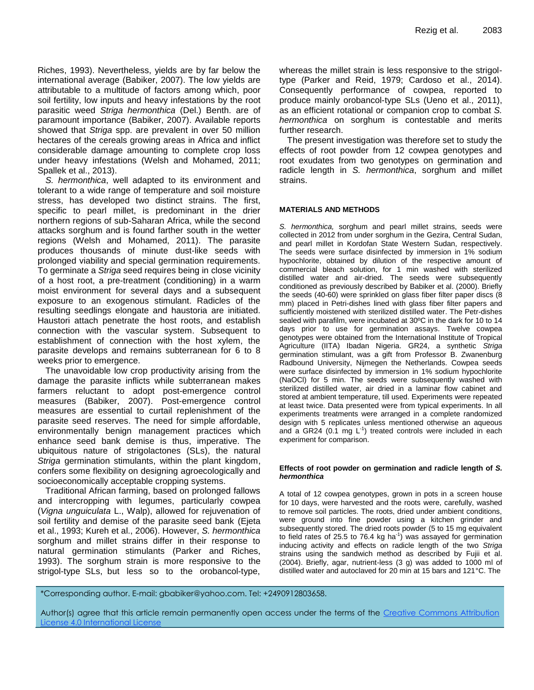Riches, 1993). Nevertheless, yields are by far below the international average (Babiker, 2007). The low yields are attributable to a multitude of factors among which, poor soil fertility, low inputs and heavy infestations by the root parasitic weed *Striga hermonthica* (Del.) Benth. are of paramount importance (Babiker, 2007). Available reports showed that *Striga* spp. are prevalent in over 50 million hectares of the cereals growing areas in Africa and inflict considerable damage amounting to complete crop loss under heavy infestations (Welsh and Mohamed, 2011; Spallek et al., 2013).

*S. hermonthica*, well adapted to its environment and tolerant to a wide range of temperature and soil moisture stress, has developed two distinct strains. The first, specific to pearl millet, is predominant in the drier northern regions of sub-Saharan Africa, while the second attacks sorghum and is found farther south in the wetter regions (Welsh and Mohamed, 2011). The parasite produces thousands of minute dust-like seeds with prolonged viability and special germination requirements. To germinate a *Striga* seed requires being in close vicinity of a host root, a pre-treatment (conditioning) in a warm moist environment for several days and a subsequent exposure to an exogenous stimulant. Radicles of the resulting seedlings elongate and haustoria are initiated. Haustori attach penetrate the host roots, and establish connection with the vascular system. Subsequent to establishment of connection with the host xylem, the parasite develops and remains subterranean for 6 to 8 weeks prior to emergence.

The unavoidable low crop productivity arising from the damage the parasite inflicts while subterranean makes farmers reluctant to adopt post-emergence control measures (Babiker, 2007). Post-emergence control measures are essential to curtail replenishment of the parasite seed reserves. The need for simple affordable, environmentally benign management practices which enhance seed bank demise is thus, imperative. The ubiquitous nature of strigolactones (SLs), the natural *Striga* germination stimulants, within the plant kingdom, confers some flexibility on designing agroecologically and socioeconomically acceptable cropping systems.

Traditional African farming, based on prolonged fallows and intercropping with legumes, particularly cowpea (*Vigna unguiculata* L., Walp), allowed for rejuvenation of soil fertility and demise of the parasite seed bank (Ejeta et al., 1993; Kureh et al., 2006). However, *S. hermonthica* sorghum and millet strains differ in their response to natural germination stimulants (Parker and Riches, 1993). The sorghum strain is more responsive to the strigol-type SLs, but less so to the orobancol-type,

whereas the millet strain is less responsive to the strigoltype (Parker and Reid, 1979; Cardoso et al., 2014). Consequently performance of cowpea, reported to produce mainly orobancol-type SLs (Ueno et al., 2011), as an efficient rotational or companion crop to combat *S. hermonthica* on sorghum is contestable and merits further research.

The present investigation was therefore set to study the effects of root powder from 12 cowpea genotypes and root exudates from two genotypes on germination and radicle length in *S. hermonthica*, sorghum and millet strains.

#### **MATERIALS AND METHODS**

*S. hermonthica,* sorghum and pearl millet strains, seeds were collected in 2012 from under sorghum in the Gezira, Central Sudan, and pearl millet in Kordofan State Western Sudan, respectively. The seeds were surface disinfected by immersion in 1% sodium hypochlorite, obtained by dilution of the respective amount of commercial bleach solution, for 1 min washed with sterilized distilled water and air-dried. The seeds were subsequently conditioned as previously described by Babiker et al. (2000). Briefly the seeds (40-60) were sprinkled on glass fiber filter paper discs (8 mm) placed in Petri-dishes lined with glass fiber filter papers and sufficiently moistened with sterilized distilled water. The Petr-dishes sealed with parafilm, were incubated at 30ºC in the dark for 10 to 14 days prior to use for germination assays. Twelve cowpea genotypes were obtained from the International Institute of Tropical Agriculture (IITA) Ibadan Nigeria. GR24, a synthetic *Striga* germination stimulant, was a gift from Professor B. Zwanenburg Radbound University, Nijmegen the Netherlands. Cowpea seeds were surface disinfected by immersion in 1% sodium hypochlorite (NaOCl) for 5 min. The seeds were subsequently washed with sterilized distilled water, air dried in a laminar flow cabinet and stored at ambient temperature, till used. Experiments were repeated at least twice. Data presented were from typical experiments. In all experiments treatments were arranged in a complete randomized design with 5 replicates unless mentioned otherwise an aqueous and a GR24 (0.1 mg  $L^{-1}$ ) treated controls were included in each experiment for comparison.

#### **Effects of root powder on germination and radicle length of** *S. hermonthica*

A total of 12 cowpea genotypes, grown in pots in a screen house for 10 days, were harvested and the roots were, carefully, washed to remove soil particles. The roots, dried under ambient conditions, were ground into fine powder using a kitchen grinder and subsequently stored. The dried roots powder (5 to 15 mg equivalent to field rates of 25.5 to 76.4 kg ha<sup>-1</sup>) was assayed for germination inducing activity and effects on radicle length of the two *Striga* strains using the sandwich method as described by Fujii et al. (2004). Briefly, agar, nutrient-less (3 g) was added to 1000 ml of distilled water and autoclaved for 20 min at 15 bars and 121°C. The

\*Corresponding author. E-mail: gbabiker@yahoo.com. Tel: +2490912803658.

Author(s) agree that this article remain permanently open access under the terms of the Creative Commons Attribution [License 4.0 International License](http://creativecommons.org/licenses/by/4.0/deed.en_US)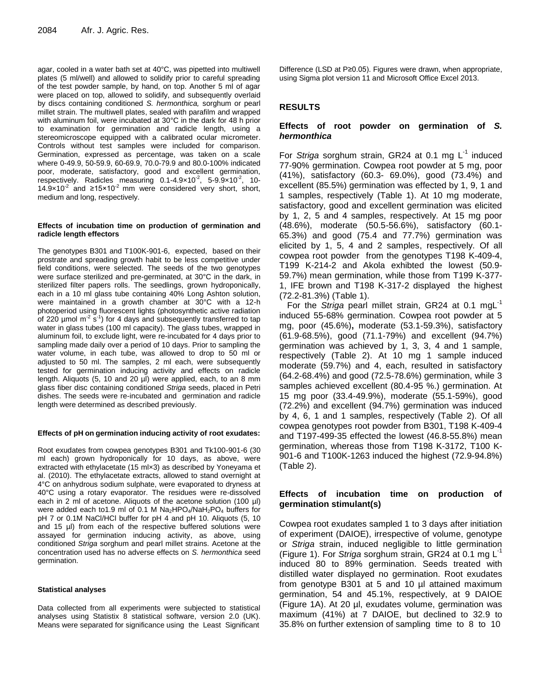agar, cooled in a water bath set at 40°C, was pipetted into multiwell plates (5 ml/well) and allowed to solidify prior to careful spreading of the test powder sample, by hand, on top. Another 5 ml of agar were placed on top, allowed to solidify, and subsequently overlaid by discs containing conditioned *S. hermonthica,* sorghum or pearl millet strain. The multiwell plates, sealed with parafilm and wrapped with aluminum foil, were incubated at 30°C in the dark for 48 h prior to examination for germination and radicle length, using a stereomicroscope equipped with a calibrated ocular micrometer. Controls without test samples were included for comparison. Germination, expressed as percentage, was taken on a scale where 0-49.9, 50-59.9, 60-69.9, 70.0-79.9 and 80.0-100% indicated poor, moderate, satisfactory, good and excellent germination, respectively. Radicles measuring  $0.1 - 4.9 \times 10^{-2}$ ,  $5 - 9.9 \times 10^{-2}$ , 10-14.9×10<sup>-2</sup> and ≥15×10<sup>-2</sup> mm were considered very short, short, medium and long, respectively.

#### **Effects of incubation time on production of germination and radicle length effectors**

The genotypes B301 and T100K-901-6, expected, based on their prostrate and spreading growth habit to be less competitive under field conditions, were selected. The seeds of the two genotypes were surface sterilized and pre-germinated, at 30°C in the dark, in sterilized filter papers rolls. The seedlings, grown hydroponically, each in a 10 ml glass tube containing 40% Long Ashton solution, were maintained in a growth chamber at 30°C with a 12-h photoperiod using fluorescent lights (photosynthetic active radiation of 220  $\mu$ mol m<sup>-2</sup> s<sup>-1</sup>) for 4 days and subsequently transferred to tap water in glass tubes (100 ml capacity). The glass tubes, wrapped in aluminum foil, to exclude light, were re-incubated for 4 days prior to sampling made daily over a period of 10 days. Prior to sampling the water volume, in each tube, was allowed to drop to 50 ml or adjusted to 50 ml. The samples, 2 ml each, were subsequently tested for germination inducing activity and effects on radicle length. Aliquots (5, 10 and 20 µl) were applied, each, to an 8 mm glass fiber disc containing conditioned *Striga* seeds, placed in Petri dishes. The seeds were re-incubated and germination and radicle length were determined as described previously.

#### **Effects of pH on germination inducing activity of root exudates:**

Root exudates from cowpea genotypes B301 and Tk100-901-6 (30 ml each) grown hydroponically for 10 days, as above, were extracted with ethylacetate (15 ml×3) as described by Yoneyama et al. (2010). The ethylacetate extracts, allowed to stand overnight at 4°C on anhydrous sodium sulphate, were evaporated to dryness at 40°C using a rotary evaporator. The residues were re-dissolved each in 2 ml of acetone. Aliquots of the acetone solution (100 µl) were added each to 1.9 ml of 0.1 M  $Na<sub>2</sub>HPO<sub>4</sub>/NaH<sub>2</sub>PO<sub>4</sub>$  buffers for pH 7 or 0.1M NaCl/HCl buffer for pH 4 and pH 10. Aliquots (5, 10 and 15 µl) from each of the respective buffered solutions were assayed for germination inducing activity, as above, using conditioned *Striga* sorghum and pearl millet strains. Acetone at the concentration used has no adverse effects on *S. hermonthica* seed germination.

#### **Statistical analyses**

Data collected from all experiments were subjected to statistical analyses using Statistix 8 statistical software, version 2.0 (UK). Means were separated for significance using the Least Significant Difference (LSD at P≥0.05). Figures were drawn, when appropriate, using Sigma plot version 11 and Microsoft Office Excel 2013.

# **RESULTS**

# **Effects of root powder on germination of** *S. hermonthica*

For Striga sorghum strain, GR24 at 0.1 mg L<sup>-1</sup> induced 77-90% germination. Cowpea root powder at 5 mg, poor (41%), satisfactory (60.3- 69.0%), good (73.4%) and excellent (85.5%) germination was effected by 1, 9, 1 and 1 samples, respectively (Table 1). At 10 mg moderate, satisfactory, good and excellent germination was elicited by 1, 2, 5 and 4 samples, respectively. At 15 mg poor (48.6%), moderate (50.5-56.6%), satisfactory (60.1- 65.3%) and good (75.4 and 77.7%) germination was elicited by 1, 5, 4 and 2 samples, respectively. Of all cowpea root powder from the genotypes T198 K-409-4, T199 K-214-2 and Akola exhibted the lowest (50.9- 59.7%) mean germination, while those from T199 K-377- 1, IFE brown and T198 K-317-2 displayed the highest (72.2-81.3%) (Table 1).

For the *Striga* pearl millet strain, GR24 at 0.1 mgL<sup>-1</sup> induced 55-68% germination. Cowpea root powder at 5 mg, poor (45.6%)**,** moderate (53.1-59.3%), satisfactory (61.9-68.5%), good (71.1-79%) and excellent (94.7%) germination was achieved by 1, 3, 3, 4 and 1 sample, respectively (Table 2). At 10 mg 1 sample induced moderate (59.7%) and 4, each, resulted in satisfactory (64.2-68.4%) and good (72.5-78.6%) germination, while 3 samples achieved excellent (80.4-95 %.) germination. At 15 mg poor (33.4-49.9%), moderate (55.1-59%), good (72.2%) and excellent (94.7%) germination was induced by 4, 6, 1 and 1 samples, respectively (Table 2). Of all cowpea genotypes root powder from B301, T198 K-409-4 and T197-499-35 effected the lowest (46.8-55.8%) mean germination, whereas those from T198 K-3172, T100 K-901-6 and T100K-1263 induced the highest (72.9-94.8%) (Table 2).

# **Effects of incubation time on production of germination stimulant(s)**

Cowpea root exudates sampled 1 to 3 days after initiation of experiment (DAIOE), irrespective of volume, genotype or *Striga* strain, induced negligible to little germination (Figure 1). For *Striga* sorghum strain, GR24 at 0.1 mg L -1 induced 80 to 89% germination. Seeds treated with distilled water displayed no germination. Root exudates from genotype B301 at 5 and 10 µl attained maximum germination, 54 and 45.1%, respectively, at 9 DAIOE (Figure 1A). At 20 µl, exudates volume, germination was maximum (41%) at 7 DAIOE, but declined to 32.9 to 35.8% on further extension of sampling time to 8 to 10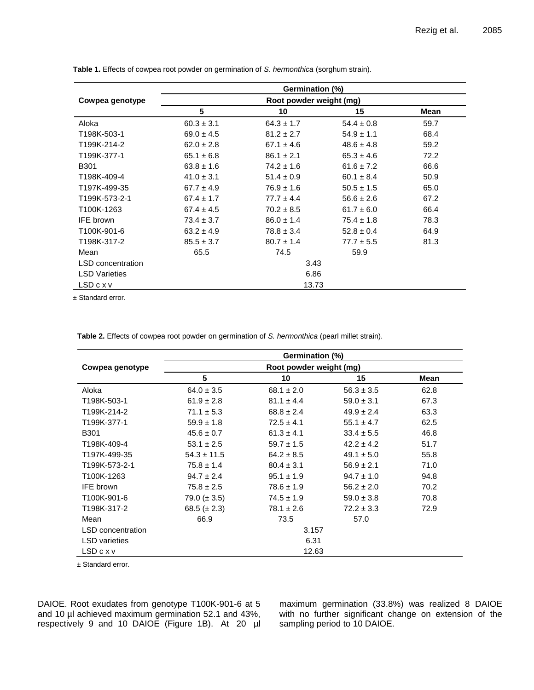|                      | Germination (%)         |                |                |      |  |  |
|----------------------|-------------------------|----------------|----------------|------|--|--|
| Cowpea genotype      | Root powder weight (mg) |                |                |      |  |  |
|                      | 5                       | 10             | 15             | Mean |  |  |
| Aloka                | $60.3 \pm 3.1$          | $64.3 \pm 1.7$ | $54.4 \pm 0.8$ | 59.7 |  |  |
| T198K-503-1          | $69.0 \pm 4.5$          | $81.2 \pm 2.7$ | $54.9 \pm 1.1$ | 68.4 |  |  |
| T199K-214-2          | $62.0 \pm 2.8$          | $67.1 \pm 4.6$ | $48.6 \pm 4.8$ | 59.2 |  |  |
| T199K-377-1          | $65.1 \pm 6.8$          | $86.1 \pm 2.1$ | $65.3 \pm 4.6$ | 72.2 |  |  |
| <b>B301</b>          | $63.8 \pm 1.6$          | $74.2 \pm 1.6$ | $61.6 \pm 7.2$ | 66.6 |  |  |
| T198K-409-4          | $41.0 \pm 3.1$          | $51.4 \pm 0.9$ | $60.1 \pm 8.4$ | 50.9 |  |  |
| T197K-499-35         | $67.7 \pm 4.9$          | $76.9 \pm 1.6$ | $50.5 \pm 1.5$ | 65.0 |  |  |
| T199K-573-2-1        | $67.4 \pm 1.7$          | $77.7 \pm 4.4$ | $56.6 \pm 2.6$ | 67.2 |  |  |
| T100K-1263           | $67.4 \pm 4.5$          | $70.2 \pm 8.5$ | $61.7 \pm 6.0$ | 66.4 |  |  |
| <b>IFE</b> brown     | $73.4 \pm 3.7$          | $86.0 \pm 1.4$ | $75.4 \pm 1.8$ | 78.3 |  |  |
| T100K-901-6          | $63.2 \pm 4.9$          | $78.8 \pm 3.4$ | $52.8 \pm 0.4$ | 64.9 |  |  |
| T198K-317-2          | $85.5 \pm 3.7$          | $80.7 \pm 1.4$ | $77.7 \pm 5.5$ | 81.3 |  |  |
| Mean                 | 65.5                    | 74.5           | 59.9           |      |  |  |
| LSD concentration    | 3.43                    |                |                |      |  |  |
| <b>LSD Varieties</b> | 6.86                    |                |                |      |  |  |
| LSDcxv               | 13.73                   |                |                |      |  |  |

**Table 1.** Effects of cowpea root powder on germination of *S. hermonthica* (sorghum strain).

± Standard error.

**Table 2.** Effects of cowpea root powder on germination of *S. hermonthica* (pearl millet strain).

|                          | Germination (%)         |                                  |                |      |  |  |
|--------------------------|-------------------------|----------------------------------|----------------|------|--|--|
| Cowpea genotype          | Root powder weight (mg) |                                  |                |      |  |  |
|                          | 5                       | 10                               | 15             | Mean |  |  |
| Aloka                    | $64.0 \pm 3.5$          | $68.1 \pm 2.0$                   | $56.3 \pm 3.5$ | 62.8 |  |  |
| T198K-503-1              | $61.9 \pm 2.8$          | $81.1 \pm 4.4$                   | $59.0 \pm 3.1$ | 67.3 |  |  |
| T199K-214-2              | $71.1 \pm 5.3$          | $68.8 \pm 2.4$                   | $49.9 \pm 2.4$ |      |  |  |
| T199K-377-1              | $59.9 \pm 1.8$          | $72.5 \pm 4.1$<br>$55.1 \pm 4.7$ |                | 62.5 |  |  |
| <b>B301</b>              | $45.6 \pm 0.7$          | $61.3 \pm 4.1$<br>$33.4 \pm 5.5$ |                | 46.8 |  |  |
| T198K-409-4              | $53.1 \pm 2.5$          | $59.7 \pm 1.5$                   | $42.2 \pm 4.2$ |      |  |  |
| T197K-499-35             | $54.3 \pm 11.5$         | $64.2 \pm 8.5$<br>$49.1 \pm 5.0$ |                | 55.8 |  |  |
| T199K-573-2-1            | $75.8 \pm 1.4$          | $80.4 \pm 3.1$                   | $56.9 \pm 2.1$ | 71.0 |  |  |
| T100K-1263               | $94.7 \pm 2.4$          | $95.1 \pm 1.9$                   | $94.7 \pm 1.0$ | 94.8 |  |  |
| <b>IFE</b> brown         | $75.8 \pm 2.5$          | $78.6 \pm 1.9$                   | $56.2 \pm 2.0$ | 70.2 |  |  |
| T100K-901-6              | 79.0 ( $\pm$ 3.5)       | $74.5 \pm 1.9$                   | $59.0 \pm 3.8$ | 70.8 |  |  |
| T198K-317-2              | 68.5 ( $\pm$ 2.3)       | $78.1 \pm 2.6$                   | $72.2 \pm 3.3$ | 72.9 |  |  |
| Mean                     | 66.9                    | 73.5                             | 57.0           |      |  |  |
| <b>LSD</b> concentration | 3.157                   |                                  |                |      |  |  |
| <b>LSD</b> varieties     | 6.31                    |                                  |                |      |  |  |
| LSDcxv                   | 12.63                   |                                  |                |      |  |  |

± Standard error.

DAIOE. Root exudates from genotype T100K-901-6 at 5 and 10 µl achieved maximum germination 52.1 and 43%, respectively 9 and 10 DAIOE (Figure 1B). At 20 µl maximum germination (33.8%) was realized 8 DAIOE with no further significant change on extension of the sampling period to 10 DAIOE.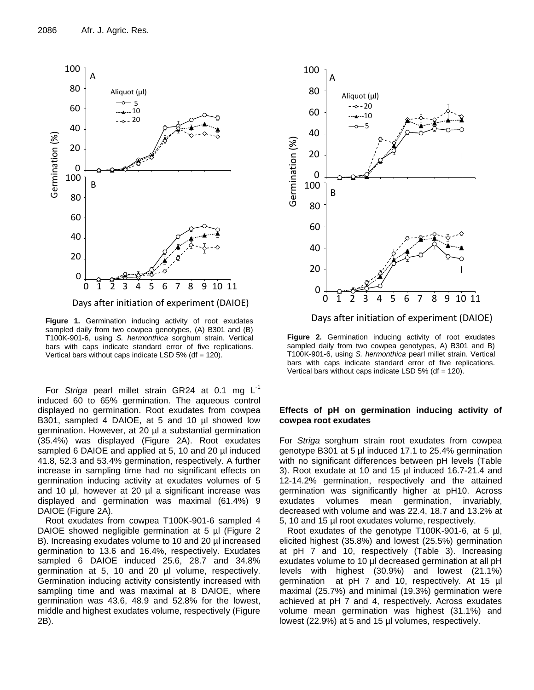

**Figure 1.** Germination inducing activity of root exudates sampled daily from two cowpea genotypes, (A) B301 and (B) T100K-901-6, using *S. hermonthica* sorghum strain. Vertical bars with caps indicate standard error of five replications. Vertical bars without caps indicate LSD 5% (df  $= 120$ ).

For *Striga* pearl millet strain GR24 at 0.1 mg L<sup>-1</sup> induced 60 to 65% germination. The aqueous control displayed no germination. Root exudates from cowpea B301, sampled 4 DAIOE, at 5 and 10 µl showed low germination. However, at 20 µl a substantial germination (35.4%) was displayed (Figure 2A). Root exudates sampled 6 DAIOE and applied at 5, 10 and 20 µl induced 41.8, 52.3 and 53.4% germination, respectively. A further increase in sampling time had no significant effects on germination inducing activity at exudates volumes of 5 and 10 µl, however at 20 µl a significant increase was displayed and germination was maximal (61.4%) 9 DAIOE (Figure 2A).

Root exudates from cowpea T100K-901-6 sampled 4 DAIOE showed negligible germination at 5 µl (Figure 2) B). Increasing exudates volume to 10 and 20 µl increased germination to 13.6 and 16.4%, respectively. Exudates sampled 6 DAIOE induced 25.6, 28.7 and 34.8% germination at 5, 10 and 20 µl volume, respectively. Germination inducing activity consistently increased with sampling time and was maximal at 8 DAIOE, where germination was 43.6, 48.9 and 52.8% for the lowest, middle and highest exudates volume, respectively (Figure 2B).



Days after initiation of experiment (DAIOE)

**Figure 2.** Germination inducing activity of root exudates sampled daily from two cowpea genotypes, A) B301 and B) T100K-901-6, using *S. hermonthica* pearl millet strain. Vertical bars with caps indicate standard error of five replications. Vertical bars without caps indicate LSD  $5\%$  (df = 120).

# **Effects of pH on germination inducing activity of cowpea root exudates**

For *Striga* sorghum strain root exudates from cowpea genotype B301 at 5 µl induced 17.1 to 25.4% germination with no significant differences between pH levels (Table 3). Root exudate at 10 and 15 µl induced 16.7-21.4 and 12-14.2% germination, respectively and the attained germination was significantly higher at pH10. Across exudates volumes mean germination, invariably, decreased with volume and was 22.4, 18.7 and 13.2% at 5, 10 and 15 µl root exudates volume, respectively.

Root exudates of the genotype T100K-901-6, at 5 µl, elicited highest (35.8%) and lowest (25.5%) germination at pH 7 and 10, respectively (Table 3). Increasing exudates volume to 10 µl decreased germination at all pH levels with highest (30.9%) and lowest (21.1%) germination at pH 7 and 10, respectively. At 15 µl maximal (25.7%) and minimal (19.3%) germination were achieved at pH 7 and 4, respectively. Across exudates volume mean germination was highest (31.1%) and lowest (22.9%) at 5 and 15 µl volumes, respectively.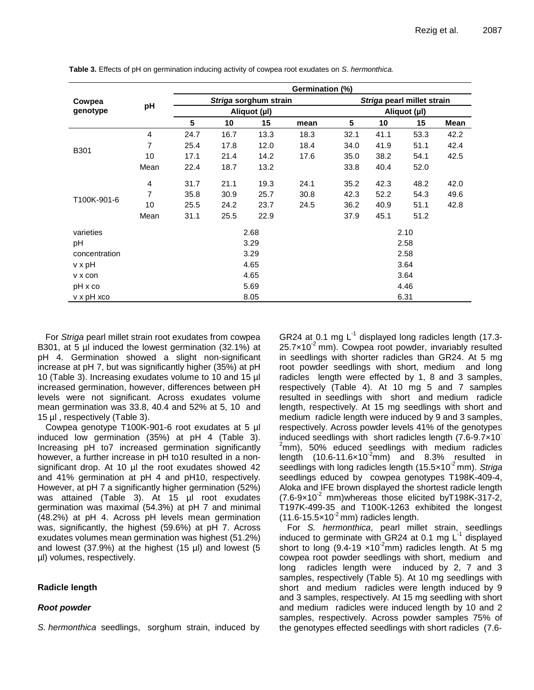|                         |      | Germination (%)                       |      |      |                                            |      |      |      |      |
|-------------------------|------|---------------------------------------|------|------|--------------------------------------------|------|------|------|------|
| Cowpea<br>genotype      | pH   | Striga sorghum strain<br>Aliquot (µl) |      |      | Striga pearl millet strain<br>Aliquot (µl) |      |      |      |      |
|                         |      |                                       |      |      |                                            |      |      |      | 5    |
|                         |      | B301                                  | 4    | 24.7 | 16.7                                       | 13.3 | 18.3 | 32.1 | 41.1 |
| 7                       | 25.4 |                                       | 17.8 | 12.0 | 18.4                                       | 34.0 | 41.9 | 51.1 | 42.4 |
| 10                      | 17.1 |                                       | 21.4 | 14.2 | 17.6                                       | 35.0 | 38.2 | 54.1 | 42.5 |
| Mean                    | 22.4 |                                       | 18.7 | 13.2 |                                            | 33.8 | 40.4 | 52.0 |      |
| T100K-901-6             | 4    | 31.7                                  | 21.1 | 19.3 | 24.1                                       | 35.2 | 42.3 | 48.2 | 42.0 |
|                         | 7    | 35.8                                  | 30.9 | 25.7 | 30.8                                       | 42.3 | 52.2 | 54.3 | 49.6 |
|                         | 10   | 25.5                                  | 24.2 | 23.7 | 24.5                                       | 36.2 | 40.9 | 51.1 | 42.8 |
|                         | Mean | 31.1                                  | 25.5 | 22.9 |                                            | 37.9 | 45.1 | 51.2 |      |
| varieties               |      | 2.68                                  |      |      |                                            | 2.10 |      |      |      |
| pH                      |      | 3.29                                  |      |      |                                            | 2.58 |      |      |      |
| concentration           |      | 3.29                                  |      |      |                                            | 2.58 |      |      |      |
| v x pH                  |      | 4.65                                  |      |      |                                            | 3.64 |      |      |      |
| v x con                 |      | 4.65                                  |      |      |                                            | 3.64 |      |      |      |
| pH x co                 |      | 5.69                                  |      |      |                                            |      | 4.46 |      |      |
| $v \times pH \times co$ |      | 8.05<br>6.31                          |      |      |                                            |      |      |      |      |

**Table 3.** Effects of pH on germination inducing activity of cowpea root exudates on *S*. *hermonthica.*

For *Striga* pearl millet strain root exudates from cowpea B301, at 5 µl induced the lowest germination (32.1%) at pH 4. Germination showed a slight non-significant increase at pH 7, but was significantly higher (35%) at pH 10 (Table 3). Increasing exudates volume to 10 and 15 µl increased germination, however, differences between pH levels were not significant. Across exudates volume mean germination was 33.8, 40.4 and 52% at 5, 10 and 15 µl, respectively (Table 3).

Cowpea genotype T100K-901-6 root exudates at 5 µl induced low germination (35%) at pH 4 (Table 3). Increasing pH to7 increased germination significantly however, a further increase in pH to10 resulted in a nonsignificant drop. At 10 µl the root exudates showed 42 and 41% germination at pH 4 and pH10, respectively. However, at pH 7 a significantly higher germination (52%) was attained (Table 3). At 15 µl root exudates germination was maximal (54.3%) at pH 7 and minimal (48.2%) at pH 4. Across pH levels mean germination was, significantly, the highest (59.6%) at pH 7. Across exudates volumes mean germination was highest (51.2%) and lowest  $(37.9\%)$  at the highest  $(15 \text{ µ})$  and lowest  $(5 \text{ µ})$ µl) volumes, respectively.

# **Radicle length**

# *Root powder*

*S. hermonthica* seedlings, sorghum strain, induced by

GR24 at 0.1 mg  $L^{-1}$  displayed long radicles length (17.3- $25.7\times10^{-2}$  mm). Cowpea root powder, invariably resulted in seedlings with shorter radicles than GR24. At 5 mg root powder seedlings with short, medium and long radicles length were effected by 1, 8 and 3 samples, respectively (Table 4). At 10 mg 5 and 7 samples resulted in seedlings with short and medium radicle length, respectively. At 15 mg seedlings with short and medium radicle length were induced by 9 and 3 samples, respectively. Across powder levels 41% of the genotypes induced seedlings with short radicles length (7.6-9.7×10-  $2$ mm), 50% educed seedlings with medium radicles length  $(10.6-11.6\times10^{-2}$ mm) and 8.3% resulted in seedlings with long radicles length (15.5×10<sup>-2</sup> mm). *Striga* seedlings educed by cowpea genotypes T198K-409-4, Aloka and IFE brown displayed the shortest radicle length  $(7.6-9\times10^{-2}$  mm)whereas those elicited byT198K-317-2, T197K-499-35 and T100K-1263 exhibited the longest  $(11.6-15.5\times10^{-2}$  mm) radicles length.

For *S. hermonthica*, pearl millet strain, seedlings induced to germinate with GR24 at 0.1 mg  $L^{-1}$  displayed short to long  $(9.4\n-19 \times 10^2)$ mm) radicles length. At 5 mg cowpea root powder seedlings with short, medium and long radicles length were induced by 2, 7 and 3 samples, respectively (Table 5). At 10 mg seedlings with short and medium radicles were length induced by 9 and 3 samples, respectively. At 15 mg seedling with short and medium radicles were induced length by 10 and 2 samples, respectively. Across powder samples 75% of the genotypes effected seedlings with short radicles (7.6-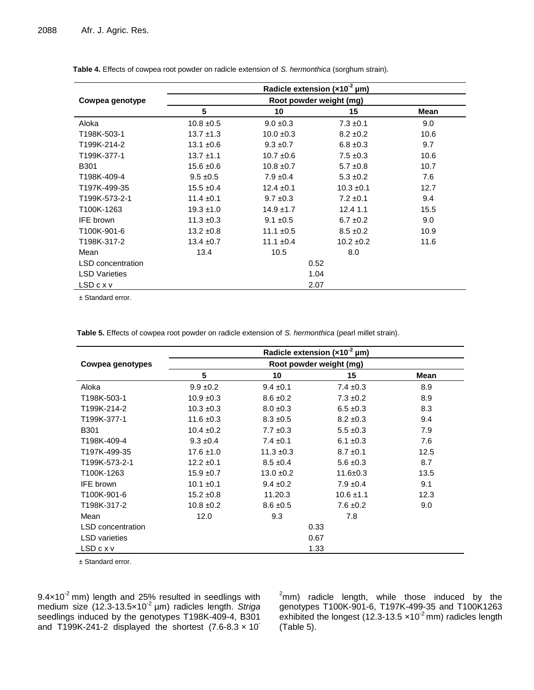|                          | Radicle extension ( $\times$ 10 <sup>-2</sup> µm)<br>Root powder weight (mg) |                |                |      |  |  |
|--------------------------|------------------------------------------------------------------------------|----------------|----------------|------|--|--|
| Cowpea genotype          |                                                                              |                |                |      |  |  |
|                          | 5                                                                            | 10             | 15             | Mean |  |  |
| Aloka                    | $10.8 \pm 0.5$                                                               | $9.0 \pm 0.3$  | $7.3 \pm 0.1$  | 9.0  |  |  |
| T198K-503-1              | $13.7 \pm 1.3$                                                               | $10.0 \pm 0.3$ | $8.2 \pm 0.2$  | 10.6 |  |  |
| T199K-214-2              | $13.1 \pm 0.6$                                                               | $9.3 \pm 0.7$  | $6.8 \pm 0.3$  | 9.7  |  |  |
| T199K-377-1              | $13.7 \pm 1.1$                                                               | $10.7 \pm 0.6$ | $7.5 \pm 0.3$  | 10.6 |  |  |
| <b>B301</b>              | $15.6 \pm 0.6$                                                               | $10.8 \pm 0.7$ | $5.7 \pm 0.8$  | 10.7 |  |  |
| T198K-409-4              | $9.5 \pm 0.5$                                                                | $7.9 \pm 0.4$  | $5.3 \pm 0.2$  | 7.6  |  |  |
| T197K-499-35             | $15.5 \pm 0.4$                                                               | $12.4 \pm 0.1$ | $10.3 \pm 0.1$ | 12.7 |  |  |
| T199K-573-2-1            | $11.4 \pm 0.1$                                                               | $9.7 \pm 0.3$  | $7.2 \pm 0.1$  | 9.4  |  |  |
| T100K-1263               | $19.3 \pm 1.0$                                                               | $14.9 \pm 1.7$ | 12.4 1.1       | 15.5 |  |  |
| <b>IFE</b> brown         | $11.3 \pm 0.3$                                                               | $9.1 \pm 0.5$  | $6.7 \pm 0.2$  | 9.0  |  |  |
| T100K-901-6              | $13.2 \pm 0.8$                                                               | 11.1 $\pm$ 0.5 | $8.5 \pm 0.2$  | 10.9 |  |  |
| T198K-317-2              | $13.4 \pm 0.7$                                                               | 11.1 $\pm$ 0.4 | $10.2 \pm 0.2$ | 11.6 |  |  |
| Mean                     | 13.4                                                                         | 10.5           | 8.0            |      |  |  |
| <b>LSD</b> concentration | 0.52                                                                         |                |                |      |  |  |
| <b>LSD Varieties</b>     | 1.04                                                                         |                |                |      |  |  |
| LSDcxv                   | 2.07                                                                         |                |                |      |  |  |

**Table 4.** Effects of cowpea root powder on radicle extension of *S. hermonthica* (sorghum strain).

± Standard error.

**Table 5.** Effects of cowpea root powder on radicle extension of *S. hermonthica* (pearl millet strain).

|                          | Radicle extension $(x10^2 \text{ µm})$ |                |                |      |  |  |
|--------------------------|----------------------------------------|----------------|----------------|------|--|--|
| Cowpea genotypes         | Root powder weight (mg)                |                |                |      |  |  |
|                          | 5                                      | 10             | 15             | Mean |  |  |
| Aloka                    | $9.9 \pm 0.2$                          | $9.4 \pm 0.1$  | $7.4 \pm 0.3$  | 8.9  |  |  |
| T198K-503-1              | $10.9 \pm 0.3$                         | $8.6 \pm 0.2$  | $7.3 \pm 0.2$  | 8.9  |  |  |
| T199K-214-2              | $10.3 \pm 0.3$                         | $8.0 \pm 0.3$  | $6.5 \pm 0.3$  | 8.3  |  |  |
| T199K-377-1              | $11.6 \pm 0.3$                         | $8.3 \pm 0.5$  | $8.2 \pm 0.3$  | 9.4  |  |  |
| <b>B301</b>              | $10.4 \pm 0.2$                         | $7.7 \pm 0.3$  | $5.5 \pm 0.3$  | 7.9  |  |  |
| T198K-409-4              | $9.3 \pm 0.4$                          | $7.4 \pm 0.1$  | $6.1 \pm 0.3$  | 7.6  |  |  |
| T197K-499-35             | $17.6 \pm 1.0$                         | $11.3 \pm 0.3$ | $8.7 \pm 0.1$  | 12.5 |  |  |
| T199K-573-2-1            | $12.2 \pm 0.1$                         | $8.5 \pm 0.4$  | $5.6 \pm 0.3$  | 8.7  |  |  |
| T100K-1263               | $15.9 \pm 0.7$                         | $13.0 \pm 0.2$ | $11.6 \pm 0.3$ | 13.5 |  |  |
| IFE brown                | $10.1 \pm 0.1$                         | $9.4 \pm 0.2$  | $7.9 \pm 0.4$  | 9.1  |  |  |
| T100K-901-6              | $15.2 \pm 0.8$                         | 11.20.3        | $10.6 \pm 1.1$ | 12.3 |  |  |
| T198K-317-2              | $10.8 \pm 0.2$                         | $8.6 \pm 0.5$  | $7.6 \pm 0.2$  | 9.0  |  |  |
| Mean                     | 12.0                                   | 9.3            | 7.8            |      |  |  |
| <b>LSD</b> concentration | 0.33                                   |                |                |      |  |  |
| <b>LSD</b> varieties     | 0.67                                   |                |                |      |  |  |
| LSDcxv                   | 1.33                                   |                |                |      |  |  |

± Standard error.

9.4 $\times$ 10<sup>-2</sup> mm) length and 25% resulted in seedlings with medium size (12.3-13.5×10<sup>-2</sup> μm) radicles length. *Striga* seedlings induced by the genotypes T198K-409-4, B301 and T199K-241-2 displayed the shortest  $(7.6-8.3 \times 10^{-7})$ 

 $^2$ mm) radicle length, while those induced by the genotypes T100K-901-6, T197K-499-35 and T100K1263 exhibited the longest (12.3-13.5  $\times$ 10<sup>-2</sup> mm) radicles length (Table 5).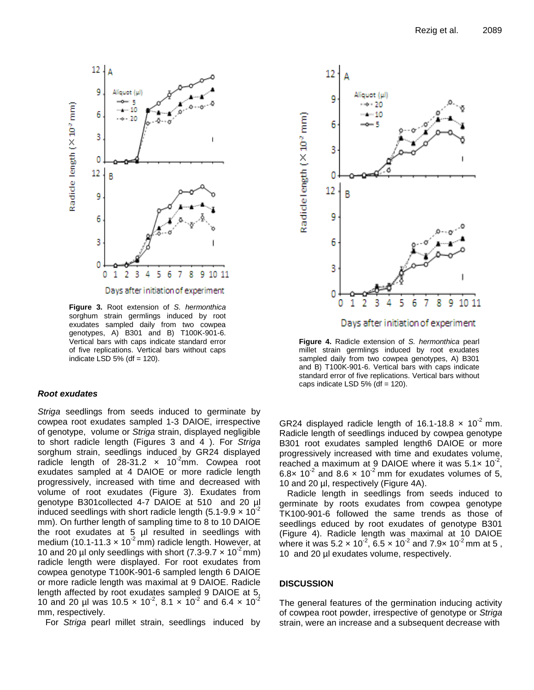

Days after initiation of experiment

**Figure 3.** Root extension of *S. hermonthica* sorghum strain germlings induced by root exudates sampled daily from two cowpea genotypes, A) B301 and B) T100K-901-6. Vertical bars with caps indicate standard error of five replications. Vertical bars without caps indicate LSD 5% (df  $= 120$ ).

# *Root exudates*

*Striga* seedlings from seeds induced to germinate by cowpea root exudates sampled 1-3 DAIOE, irrespective of genotype, volume or *Striga* strain, displayed negligible to short radicle length (Figures 3 and 4 ). For *Striga* sorghum strain, seedlings induced by GR24 displayed radicle length of  $28-31.2 \times 10^{-2}$ mm. Cowpea root exudates sampled at 4 DAIOE or more radicle length progressively, increased with time and decreased with volume of root exudates (Figure 3). Exudates from genotype B301collected 4-7 DAIOE at 510 and 20 µl induced seedlings with short radicle length (5.1-9.9  $\times$  10<sup>-2</sup> mm). On further length of sampling time to 8 to 10 DAIOE the root exudates at 5 µl resulted in seedlings with medium (10.1-11.3  $\times$  10<sup>-2</sup> mm) radicle length. However, at 10 and 20 µl only seedlings with short (7.3-9.7  $\times$  10<sup>-2</sup> mm) radicle length were displayed. For root exudates from cowpea genotype T100K-901-6 sampled length 6 DAIOE or more radicle length was maximal at 9 DAIOE. Radicle length affected by root exudates sampled 9 DAIOE at 5, 10 and 20 µl was 10.5  $\times$  10<sup>-2</sup>, 8.1  $\times$  10<sup>-2</sup> and 6.4  $\times$  10<sup>-2</sup> mm, respectively.

For *Striga* pearl millet strain, seedlings induced by



**Figure 4.** Radicle extension of *S. hermonthica* pearl millet strain germlings induced by root exudates sampled daily from two cowpea genotypes, A) B301 and B) T100K-901-6. Vertical bars with caps indicate

standard error of five replications. Vertical bars without

caps indicate LSD  $5\%$  (df = 120).

GR24 displayed radicle length of 16.1-18.8  $\times$  10<sup>-2</sup> mm. Radicle length of seedlings induced by cowpea genotype B301 root exudates sampled length6 DAIOE or more progressively increased with time and exudates volume, reached a maximum at 9 DAIOE where it was  $5.1 \times 10^{-2}$ , 6.8x 10<sup>-2</sup> and 8.6 x 10<sup>-2</sup> mm for exudates volumes of 5, 10 and 20 µl, respectively (Figure 4A).

Radicle length in seedlings from seeds induced to germinate by roots exudates from cowpea genotype TK100-901-6 followed the same trends as those of seedlings educed by root exudates of genotype B301 (Figure 4). Radicle length was maximal at 10 DAIOE where it was 5.2  $\times$  10<sup>-2</sup>, 6.5  $\times$  10<sup>-2</sup> and 7.9 $\times$  10<sup>-2</sup> mm at 5, 10 and 20 µl exudates volume, respectively.

#### **DISCUSSION**

The general features of the germination inducing activity of cowpea root powder, irrespective of genotype or *Striga* strain, were an increase and a subsequent decrease with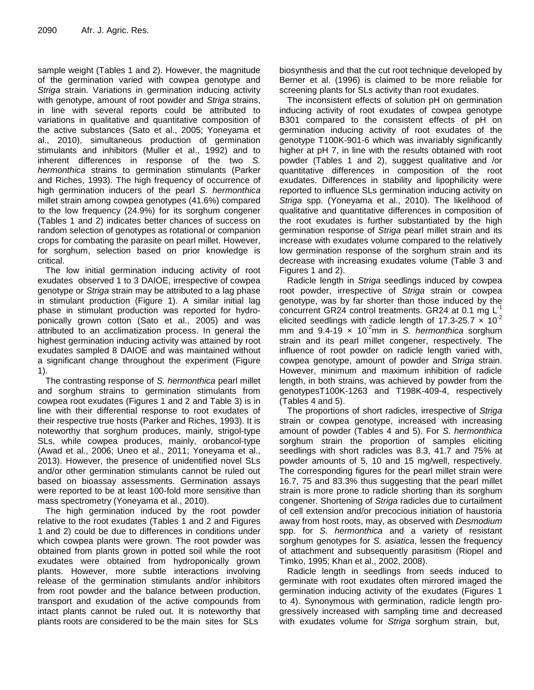sample weight (Tables 1 and 2). However, the magnitude of the germination varied with cowpea genotype and *Striga* strain. Variations in germination inducing activity with genotype, amount of root powder and *Striga* strains, in line with several reports could be attributed to variations in qualitative and quantitative composition of the active substances (Sato et al., 2005; Yoneyama et al., 2010), simultaneous production of germination stimulants and inhibitors (Muller et al., 1992) and to inherent differences in response of the two *S. hermonthica* strains to germination stimulants (Parker and Riches, 1993). The high frequency of occurrence of high germination inducers of the pearl *S. hermonthica* millet strain among cowpea genotypes (41.6%) compared to the low frequency (24.9%) for its sorghum congener (Tables 1 and 2) indicates better chances of success on random selection of genotypes as rotational or companion crops for combating the parasite on pearl millet. However, for sorghum, selection based on prior knowledge is critical.

The low initial germination inducing activity of root exudates observed 1 to 3 DAIOE, irrespective of cowpea genotype or *Striga* strain may be attributed to a lag phase in stimulant production (Figure 1). A similar initial lag phase in stimulant production was reported for hydroponically grown cotton (Sato et al., 2005) and was attributed to an acclimatization process. In general the highest germination inducing activity was attained by root exudates sampled 8 DAIOE and was maintained without a significant change throughout the experiment (Figure 1).

The contrasting response of *S. hermonthica* pearl millet and sorghum strains to germination stimulants from cowpea root exudates (Figures 1 and 2 and Table 3) is in line with their differential response to root exudates of their respective true hosts (Parker and Riches, 1993). It is noteworthy that sorghum produces, mainly, strigol-type SLs, while cowpea produces, mainly, orobancol-type (Awad et al., 2006; Uneo et al., 2011; Yoneyama et al., 2013). However, the presence of unidentified novel SLs and/or other germination stimulants cannot be ruled out based on bioassay assessments. Germination assays were reported to be at least 100-fold more sensitive than mass spectrometry (Yoneyama et al., 2010).

The high germination induced by the root powder relative to the root exudates (Tables 1 and 2 and Figures 1 and 2) could be due to differences in conditions under which cowpea plants were grown. The root powder was obtained from plants grown in potted soil while the root exudates were obtained from hydroponically grown plants. However, more subtle interactions involving release of the germination stimulants and/or inhibitors from root powder and the balance between production, transport and exudation of the active compounds from intact plants cannot be ruled out. It is noteworthy that plants roots are considered to be the main sites for SLs

biosynthesis and that the cut root technique developed by Berner et al. (1996) is claimed to be more reliable for screening plants for SLs activity than root exudates.

The inconsistent effects of solution pH on germination inducing activity of root exudates of cowpea genotype B301 compared to the consistent effects of pH on germination inducing activity of root exudates of the genotype T100K-901-6 which was invariably significantly higher at pH 7, in line with the results obtained with root powder (Tables 1 and 2), suggest qualitative and /or quantitative differences in composition of the root exudates. Differences in stability and lipophilicity were reported to influence SLs germination inducing activity on *Striga* spp. (Yoneyama et al., 2010). The likelihood of qualitative and quantitative differences in composition of the root exudates is further substantiated by the high germination response of *Striga* pearl millet strain and its increase with exudates volume compared to the relatively low germination response of the sorghum strain and its decrease with increasing exudates volume (Table 3 and Figures 1 and 2).

Radicle length in *Striga* seedlings induced by cowpea root powder, irrespective of *Striga* strain or cowpea genotype, was by far shorter than those induced by the concurrent GR24 control treatments. GR24 at 0.1 mg  $L^1$ elicited seedlings with radicle length of 17.3-25.7  $\times$  10<sup>-2</sup> mm and  $9.4 - 19 \times 10^{-2}$ mm in *S. hermonthica* sorghum strain and its pearl millet congener, respectively. The influence of root powder on radicle length varied with, cowpea genotype, amount of powder and *Striga* strain. However, minimum and maximum inhibition of radicle length, in both strains, was achieved by powder from the genotypesT100K-1263 and T198K-409-4, respectively (Tables 4 and 5).

The proportions of short radicles, irrespective of *Striga* strain or cowpea genotype, increased with increasing amount of powder (Tables 4 and 5). For *S. hermonthica* sorghum strain the proportion of samples eliciting seedlings with short radicles was 8.3, 41.7 and 75% at powder amounts of 5, 10 and 15 mg/well, respectively. The corresponding figures for the pearl millet strain were 16.7, 75 and 83.3% thus suggesting that the pearl millet strain is more prone to radicle shorting than its sorghum congener. Shortening of *Striga* radicles due to curtailment of cell extension and/or precocious initiation of haustoria away from host roots, may, as observed with *Desmodium* spp. for *S. hermonthica* and a variety of resistant sorghum genotypes for *S. asiatica*, lessen the frequency of attachment and subsequently parasitism (Riopel and Timko, 1995; Khan et al., 2002, 2008).

Radicle length in seedlings from seeds induced to germinate with root exudates often mirrored imaged the germination inducing activity of the exudates (Figures 1 to 4). Synonymous with germination, radicle length progressively increased with sampling time and decreased with exudates volume for *Striga* sorghum strain, but,